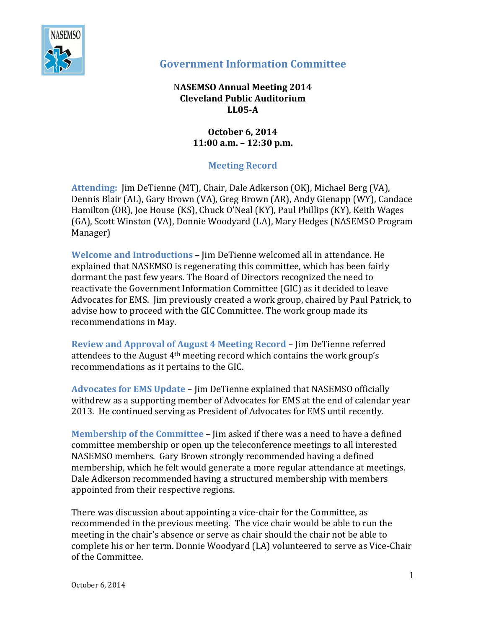

## **Government Information Committee**

## N**ASEMSO Annual Meeting 2014 Cleveland Public Auditorium LL05-A**

## **October 6, 2014 11:00 a.m. – 12:30 p.m.**

## **Meeting Record**

**Attending:** Jim DeTienne (MT), Chair, Dale Adkerson (OK), Michael Berg (VA), Dennis Blair (AL), Gary Brown (VA), Greg Brown (AR), Andy Gienapp (WY), Candace Hamilton (OR), Joe House (KS), Chuck O'Neal (KY), Paul Phillips (KY), Keith Wages (GA), Scott Winston (VA), Donnie Woodyard (LA), Mary Hedges (NASEMSO Program Manager)

**Welcome and Introductions** – Jim DeTienne welcomed all in attendance. He explained that NASEMSO is regenerating this committee, which has been fairly dormant the past few years. The Board of Directors recognized the need to reactivate the Government Information Committee (GIC) as it decided to leave Advocates for EMS. Jim previously created a work group, chaired by Paul Patrick, to advise how to proceed with the GIC Committee. The work group made its recommendations in May.

**Review and Approval of August 4 Meeting Record** – Jim DeTienne referred attendees to the August 4th meeting record which contains the work group's recommendations as it pertains to the GIC.

**Advocates for EMS Update** – Jim DeTienne explained that NASEMSO officially withdrew as a supporting member of Advocates for EMS at the end of calendar year 2013. He continued serving as President of Advocates for EMS until recently.

**Membership of the Committee** – Jim asked if there was a need to have a defined committee membership or open up the teleconference meetings to all interested NASEMSO members. Gary Brown strongly recommended having a defined membership, which he felt would generate a more regular attendance at meetings. Dale Adkerson recommended having a structured membership with members appointed from their respective regions.

There was discussion about appointing a vice-chair for the Committee, as recommended in the previous meeting. The vice chair would be able to run the meeting in the chair's absence or serve as chair should the chair not be able to complete his or her term. Donnie Woodyard (LA) volunteered to serve as Vice-Chair of the Committee.